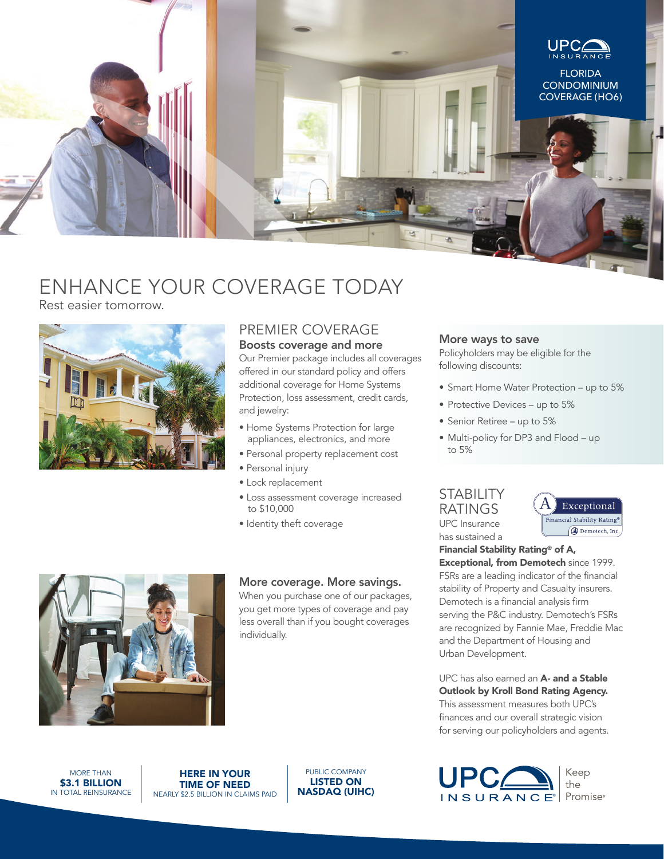

# ENHANCE YOUR COVERAGE TODAY

Rest easier tomorrow.



## PREMIER COVERAGE Boosts coverage and more

Our Premier package includes all coverages offered in our standard policy and offers additional coverage for Home Systems Protection, loss assessment, credit cards, and jewelry:

- Home Systems Protection for large appliances, electronics, and more
- Personal property replacement cost
- Personal injury
- Lock replacement
- Loss assessment coverage increased to \$10,000
- Identity theft coverage



#### More coverage. More savings.

When you purchase one of our packages, you get more types of coverage and pay less overall than if you bought coverages individually.

### More ways to save

Policyholders may be eligible for the following discounts:

- Smart Home Water Protection up to 5%
- Protective Devices up to 5%
- Senior Retiree up to 5%
- Multi-policy for DP3 and Flood up to 5%

#### **STABILITY** RATINGS UPC Insurance has sustained a

Exceptional Financial Stability Rating® Demotech, Inc.

Financial Stability Rating® of A, Exceptional, from Demotech since 1999. FSRs are a leading indicator of the financial stability of Property and Casualty insurers. Demotech is a financial analysis firm serving the P&C industry. Demotech's FSRs are recognized by Fannie Mae, Freddie Mac and the Department of Housing and Urban Development.

UPC has also earned an A- and a Stable Outlook by Kroll Bond Rating Agency. This assessment measures both UPC's finances and our overall strategic vision for serving our policyholders and agents.



MORE THAN \$3.1 BILLION IN TOTAL REINSURANCE

HERE IN YOUR TIME OF NEED NEARLY \$2.5 BILLION IN CLAIMS PAID

PUBLIC COMPANY LISTED ON NASDAQ (UIHC)